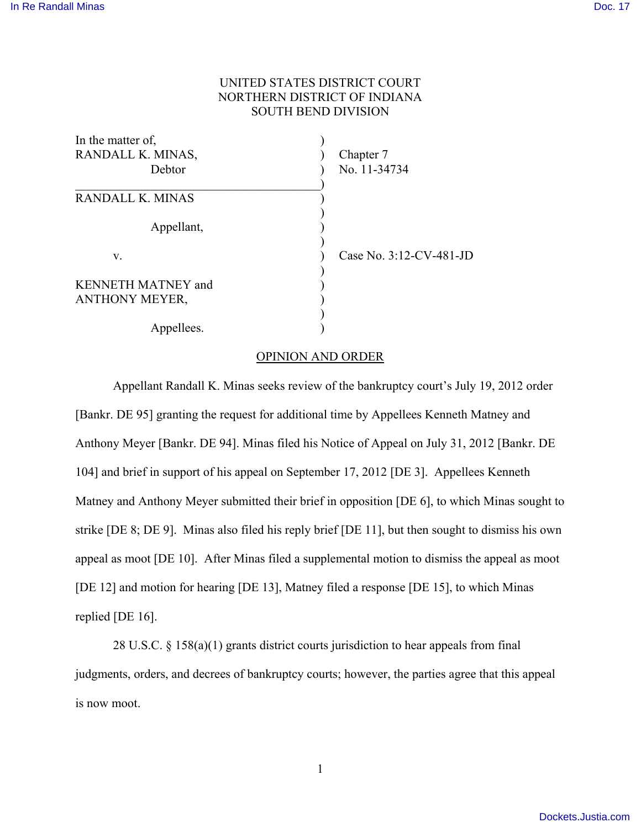## UNITED STATES DISTRICT COURT NORTHERN DISTRICT OF INDIANA SOUTH BEND DIVISION

| In the matter of,<br>RANDALL K. MINAS,<br>Debtor | Chapter 7<br>No. 11-34734 |
|--------------------------------------------------|---------------------------|
|                                                  |                           |
| RANDALL K. MINAS                                 |                           |
| Appellant,                                       |                           |
|                                                  |                           |
| V.                                               | Case No. 3:12-CV-481-JD   |
|                                                  |                           |
| <b>KENNETH MATNEY and</b>                        |                           |
| ANTHONY MEYER,                                   |                           |
|                                                  |                           |
| Appellees.                                       |                           |

## OPINION AND ORDER

 Appellant Randall K. Minas seeks review of the bankruptcy court's July 19, 2012 order [Bankr. DE 95] granting the request for additional time by Appellees Kenneth Matney and Anthony Meyer [Bankr. DE 94]. Minas filed his Notice of Appeal on July 31, 2012 [Bankr. DE 104] and brief in support of his appeal on September 17, 2012 [DE 3]. Appellees Kenneth Matney and Anthony Meyer submitted their brief in opposition [DE 6], to which Minas sought to strike [DE 8; DE 9]. Minas also filed his reply brief [DE 11], but then sought to dismiss his own appeal as moot [DE 10]. After Minas filed a supplemental motion to dismiss the appeal as moot [DE 12] and motion for hearing [DE 13], Matney filed a response [DE 15], to which Minas replied [DE 16].

28 U.S.C. § 158(a)(1) grants district courts jurisdiction to hear appeals from final judgments, orders, and decrees of bankruptcy courts; however, the parties agree that this appeal is now moot.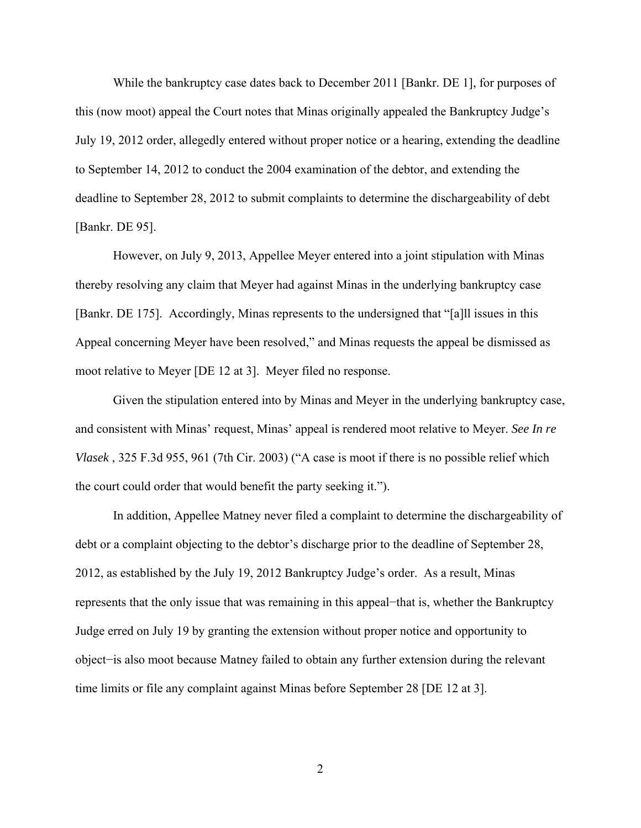While the bankruptcy case dates back to December 2011 [Bankr. DE 1], for purposes of this (now moot) appeal the Court notes that Minas originally appealed the Bankruptcy Judge's July 19, 2012 order, allegedly entered without proper notice or a hearing, extending the deadline to September 14, 2012 to conduct the 2004 examination of the debtor, and extending the deadline to September 28, 2012 to submit complaints to determine the dischargeability of debt [Bankr. DE 95].

However, on July 9, 2013, Appellee Meyer entered into a joint stipulation with Minas thereby resolving any claim that Meyer had against Minas in the underlying bankruptcy case [Bankr. DE 175]. Accordingly, Minas represents to the undersigned that "[a]ll issues in this Appeal concerning Meyer have been resolved," and Minas requests the appeal be dismissed as moot relative to Meyer [DE 12 at 3]. Meyer filed no response.

Given the stipulation entered into by Minas and Meyer in the underlying bankruptcy case, and consistent with Minas' request, Minas' appeal is rendered moot relative to Meyer. *See In re Vlasek* , 325 F.3d 955, 961 (7th Cir. 2003) ("A case is moot if there is no possible relief which the court could order that would benefit the party seeking it.").

In addition, Appellee Matney never filed a complaint to determine the dischargeability of debt or a complaint objecting to the debtor's discharge prior to the deadline of September 28, 2012, as established by the July 19, 2012 Bankruptcy Judge's order. As a result, Minas represents that the only issue that was remaining in this appeal−that is, whether the Bankruptcy Judge erred on July 19 by granting the extension without proper notice and opportunity to object−is also moot because Matney failed to obtain any further extension during the relevant time limits or file any complaint against Minas before September 28 [DE 12 at 3].

2